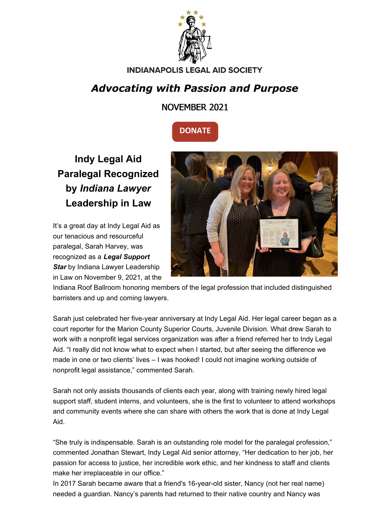

#### **INDIANAPOLIS LEGAL AID SOCIETY**

# *Advocating with Passion and Purpose*

### NOVEMBER 2021



**Indy Legal Aid Paralegal Recognized by** *Indiana Lawyer* **Leadership in Law**

It's a great day at Indy Legal Aid as our tenacious and resourceful paralegal, Sarah Harvey, was recognized as a *Legal Support* **Star** by Indiana Lawyer Leadership in Law on November 9, 2021, at the



Indiana Roof Ballroom honoring members of the legal profession that included distinguished barristers and up and coming lawyers.

Sarah just celebrated her five-year anniversary at Indy Legal Aid. Her legal career began as a court reporter for the Marion County Superior Courts, Juvenile Division. What drew Sarah to work with a nonprofit legal services organization was after a friend referred her to Indy Legal Aid. "I really did not know what to expect when I started, but after seeing the difference we made in one or two clients' lives – I was hooked! I could not imagine working outside of nonprofit legal assistance," commented Sarah.

Sarah not only assists thousands of clients each year, along with training newly hired legal support staff, student interns, and volunteers, she is the first to volunteer to attend workshops and community events where she can share with others the work that is done at Indy Legal Aid.

"She truly is indispensable. Sarah is an outstanding role model for the paralegal profession," commented Jonathan Stewart, Indy Legal Aid senior attorney, "Her dedication to her job, her passion for access to justice, her incredible work ethic, and her kindness to staff and clients make her irreplaceable in our office."

In 2017 Sarah became aware that a friend's 16-year-old sister, Nancy (not her real name) needed a guardian. Nancy's parents had returned to their native country and Nancy was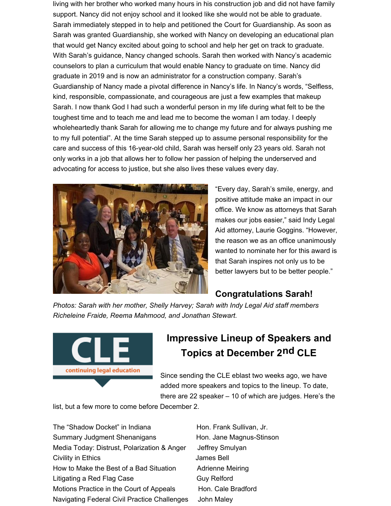living with her brother who worked many hours in his construction job and did not have family support. Nancy did not enjoy school and it looked like she would not be able to graduate. Sarah immediately stepped in to help and petitioned the Court for Guardianship. As soon as Sarah was granted Guardianship, she worked with Nancy on developing an educational plan that would get Nancy excited about going to school and help her get on track to graduate. With Sarah's guidance, Nancy changed schools. Sarah then worked with Nancy's academic counselors to plan a curriculum that would enable Nancy to graduate on time. Nancy did graduate in 2019 and is now an administrator for a construction company. Sarah's Guardianship of Nancy made a pivotal difference in Nancy's life. In Nancy's words, "Selfless, kind, responsible, compassionate, and courageous are just a few examples that makeup Sarah. I now thank God I had such a wonderful person in my life during what felt to be the toughest time and to teach me and lead me to become the woman I am today. I deeply wholeheartedly thank Sarah for allowing me to change my future and for always pushing me to my full potential". At the time Sarah stepped up to assume personal responsibility for the care and success of this 16-year-old child, Sarah was herself only 23 years old. Sarah not only works in a job that allows her to follow her passion of helping the underserved and advocating for access to justice, but she also lives these values every day.



"Every day, Sarah's smile, energy, and positive attitude make an impact in our office. We know as attorneys that Sarah makes our jobs easier," said Indy Legal Aid attorney, Laurie Goggins. "However, the reason we as an office unanimously wanted to nominate her for this award is that Sarah inspires not only us to be better lawyers but to be better people."

#### **Congratulations Sarah!**

*Photos: Sarah with her mother, Shelly Harvey; Sarah with Indy Legal Aid staff members Richeleine Fraide, Reema Mahmood, and Jonathan Stewart.*



## **Impressive Lineup of Speakers and Topics at December 2nd CLE**

Since sending the CLE eblast two weeks ago, we have added more speakers and topics to the lineup. To date, there are 22 speaker – 10 of which are judges. Here's the

list, but a few more to come before December 2.

The "Shadow Docket" in Indiana Hon. Frank Sullivan, Jr. Summary Judgment Shenanigans Hon. Jane Magnus-Stinson Media Today: Distrust, Polarization & Anger Jeffrey Smulyan Civility in Ethics James Bell How to Make the Best of a Bad Situation Adrienne Meiring Litigating a Red Flag Case Guy Relford Motions Practice in the Court of Appeals Hon. Cale Bradford Navigating Federal Civil Practice Challenges John Maley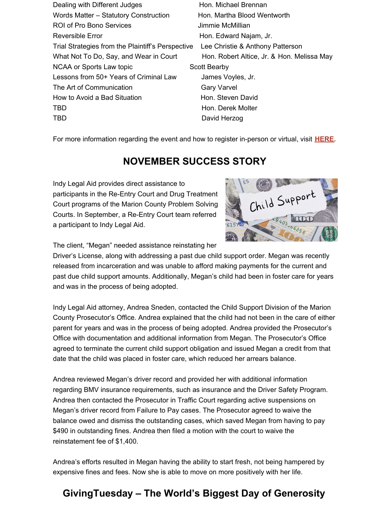Dealing with Different Judges Hon. Michael Brennan Words Matter – Statutory Construction Hon. Martha Blood Wentworth ROI of Pro Bono Services **Access** Jimmie McMillian Reversible Error **Exercise Exercise Exercise Exercise Exercise Additional Hon. Edward Najam, Jr.** Trial Strategies from the Plaintiff's Perspective Lee Christie & Anthony Patterson What Not To Do, Say, and Wear in Court Hon. Robert Altice, Jr. & Hon. Melissa May NCAA or Sports Law topic Scott Bearby Lessons from 50+ Years of Criminal Law James Voyles, Jr. The Art of Communication Gary Varvel How to Avoid a Bad Situation **Hon.** Steven David TBD **Hon.** Derek Molter TBD David Herzog

For more information regarding the event and how to register in-person or virtual, visit **HERE.**

## **NOVEMBER SUCCESS STORY**

Indy Legal Aid provides direct assistance to participants in the Re-Entry Court and Drug Treatment Court programs of the Marion County Problem Solving Courts. In September, a Re-Entry Court team referred a participant to Indy Legal Aid.



The client, "Megan" needed assistance reinstating her

Driver's License, along with addressing a past due child support order. Megan was recently released from incarceration and was unable to afford making payments for the current and past due child support amounts. Additionally, Megan's child had been in foster care for years and was in the process of being adopted.

Indy Legal Aid attorney, Andrea Sneden, contacted the Child Support Division of the Marion County Prosecutor's Office. Andrea explained that the child had not been in the care of either parent for years and was in the process of being adopted. Andrea provided the Prosecutor's Office with documentation and additional information from Megan. The Prosecutor's Office agreed to terminate the current child support obligation and issued Megan a credit from that date that the child was placed in foster care, which reduced her arrears balance.

Andrea reviewed Megan's driver record and provided her with additional information regarding BMV insurance requirements, such as insurance and the Driver Safety Program. Andrea then contacted the Prosecutor in Traffic Court regarding active suspensions on Megan's driver record from Failure to Pay cases. The Prosecutor agreed to waive the balance owed and dismiss the outstanding cases, which saved Megan from having to pay \$490 in outstanding fines. Andrea then filed a motion with the court to waive the reinstatement fee of \$1,400.

Andrea's efforts resulted in Megan having the ability to start fresh, not being hampered by expensive fines and fees. Now she is able to move on more positively with her life.

## **GivingTuesday – The World's Biggest Day of Generosity**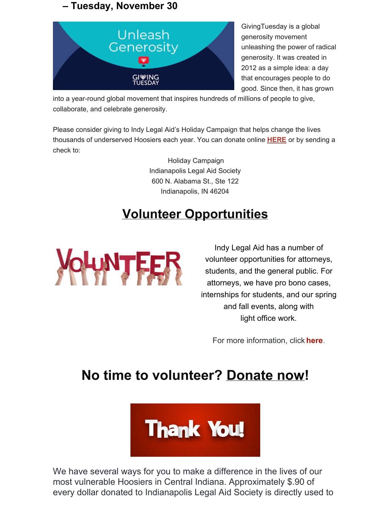### **– Tuesday, November 30**



GivingTuesday is a global generosity movement unleashing the power of radical generosity. It was created in 2012 as a simple idea: a day that encourages people to do good. Since then, it has grown

into a year-round global movement that inspires hundreds of millions of people to give, collaborate, and celebrate generosity.

Please consider giving to Indy Legal Aid's Holiday Campaign that helps change the lives thousands of underserved Hoosiers each year. You can donate online **HERE** or by sending a check to:

> Holiday Campaign Indianapolis Legal Aid Society 600 N. Alabama St., Ste 122 Indianapolis, IN 46204

# **Volunteer Opportunities**



Indy Legal Aid has a number of volunteer opportunities for attorneys, students, and the general public. For attorneys, we have pro bono cases, internships for students, and our spring and fall events, along with light office work.

For more information, click **here**.

# **No time to volunteer? Donate now!**



We have several ways for you to make a difference in the lives of our most vulnerable Hoosiers in Central Indiana. Approximately \$.90 of every dollar donated to Indianapolis Legal Aid Society is directly used to